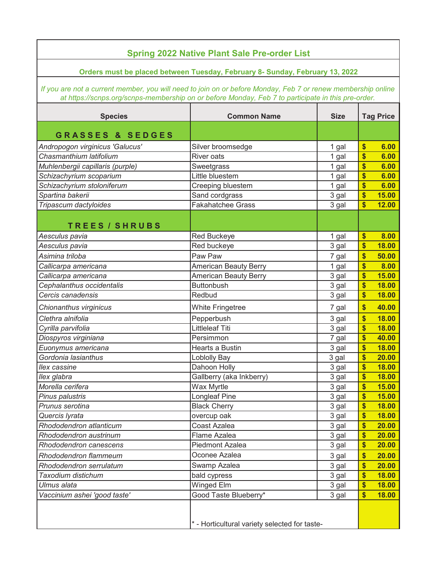| <b>Spring 2022 Native Plant Sale Pre-order List</b>                                                                                                                                                                |                              |             |                                    |  |  |  |
|--------------------------------------------------------------------------------------------------------------------------------------------------------------------------------------------------------------------|------------------------------|-------------|------------------------------------|--|--|--|
| Orders must be placed between Tuesday, February 8- Sunday, February 13, 2022                                                                                                                                       |                              |             |                                    |  |  |  |
| If you are not a current member, you will need to join on or before Monday, Feb 7 or renew membership online<br>at https://scnps.org/scnps-membership on or before Monday, Feb 7 to participate in this pre-order. |                              |             |                                    |  |  |  |
| <b>Species</b>                                                                                                                                                                                                     | <b>Common Name</b>           | <b>Size</b> | <b>Tag Price</b>                   |  |  |  |
| <b>GRASSES &amp; SEDGES</b>                                                                                                                                                                                        |                              |             |                                    |  |  |  |
| Andropogon virginicus 'Galucus'                                                                                                                                                                                    | Silver broomsedge            | 1 gal       | $\boldsymbol{\$}$<br>6.00          |  |  |  |
| Chasmanthium latifolium                                                                                                                                                                                            | <b>River oats</b>            | 1 gal       | $\boldsymbol{\mathsf{s}}$<br>6.00  |  |  |  |
| Muhlenbergii capillaris (purple)                                                                                                                                                                                   | Sweetgrass                   | 1 gal       | \$<br>6.00                         |  |  |  |
| Schizachyrium scoparium                                                                                                                                                                                            | Little bluestem              | 1 gal       | \$<br>6.00                         |  |  |  |
| Schizachyrium stoloniferum                                                                                                                                                                                         | Creeping bluestem            | 1 gal       | \$<br>6.00                         |  |  |  |
| Spartina bakerii                                                                                                                                                                                                   | Sand cordgrass               | 3 gal       | $\boldsymbol{\mathsf{s}}$<br>15.00 |  |  |  |
| Tripascum dactyloides                                                                                                                                                                                              | <b>Fakahatchee Grass</b>     | 3 gal       | $\boldsymbol{\$}$<br>12.00         |  |  |  |
| <b>TREES/SHRUBS</b>                                                                                                                                                                                                |                              |             |                                    |  |  |  |
| Aesculus pavia                                                                                                                                                                                                     | Red Buckeye                  | 1 gal       | $\boldsymbol{\$}$<br>8.00          |  |  |  |
| Aesculus pavia                                                                                                                                                                                                     | Red buckeye                  | 3 gal       | \$<br>18.00                        |  |  |  |
| Asimina triloba                                                                                                                                                                                                    | Paw Paw                      | 7 gal       | \$<br>50.00                        |  |  |  |
| Callicarpa americana                                                                                                                                                                                               | American Beauty Berry        | 1 gal       | \$<br>8.00                         |  |  |  |
| Callicarpa americana                                                                                                                                                                                               | <b>American Beauty Berry</b> | 3 gal       | \$<br>15.00                        |  |  |  |
| Cephalanthus occidentalis                                                                                                                                                                                          | <b>Buttonbush</b>            | 3 gal       | $\boldsymbol{\$}$<br>18.00         |  |  |  |
| Cercis canadensis                                                                                                                                                                                                  | Redbud                       | 3 gal       | $\boldsymbol{s}$<br>18.00          |  |  |  |
| Chionanthus virginicus                                                                                                                                                                                             | <b>White Fringetree</b>      | 7 gal       | $\boldsymbol{s}$<br>40.00          |  |  |  |
| Clethra alnifolia                                                                                                                                                                                                  | Pepperbush                   | 3 gal       | \$<br>18.00                        |  |  |  |
| Cyrilla parvifolia                                                                                                                                                                                                 | <b>Littleleaf Titi</b>       | 3 gal       | \$<br>18.00                        |  |  |  |
| Diospyros virginiana                                                                                                                                                                                               | Persimmon                    | 7 gal       | \$<br>40.00                        |  |  |  |
| Euonymus americana                                                                                                                                                                                                 | Hearts a Bustin              | 3 gal       | $\boldsymbol{s}$<br>18.00          |  |  |  |
| Gordonia lasianthus                                                                                                                                                                                                | <b>Loblolly Bay</b>          | 3 gal       | \$<br>20.00                        |  |  |  |
| <b>Ilex</b> cassine                                                                                                                                                                                                | Dahoon Holly                 | 3 gal       | \$<br>18.00                        |  |  |  |
| llex glabra                                                                                                                                                                                                        | Gallberry (aka Inkberry)     | 3 gal       | \$<br>18.00                        |  |  |  |
| Morella cerifera                                                                                                                                                                                                   | Wax Myrtle                   | 3 gal       | 15.00<br>S                         |  |  |  |
| Pinus palustris                                                                                                                                                                                                    | Longleaf Pine                | 3 gal       | 15.00<br>\$                        |  |  |  |
| Prunus serotina                                                                                                                                                                                                    | <b>Black Cherry</b>          | 3 gal       | \$<br>18.00                        |  |  |  |
| Quercis lyrata                                                                                                                                                                                                     | overcup oak                  | 3 gal       | \$<br>18.00                        |  |  |  |
| Rhododendron atlanticum                                                                                                                                                                                            | Coast Azalea                 | 3 gal       | \$<br>20.00                        |  |  |  |
| Rhododendron austrinum                                                                                                                                                                                             | Flame Azalea                 | 3 gal       | \$<br>20.00                        |  |  |  |
| Rhododendron canescens                                                                                                                                                                                             | Piedmont Azalea              | 3 gal       | 20.00<br>\$                        |  |  |  |
| Rhododendron flammeum                                                                                                                                                                                              | Oconee Azalea                | 3 gal       | \$<br>20.00                        |  |  |  |
| Rhododendron serrulatum                                                                                                                                                                                            | Swamp Azalea                 | 3 gal       | 20.00<br>\$                        |  |  |  |
| Taxodium distichum                                                                                                                                                                                                 | bald cypress                 | 3 gal       | 18.00<br>\$                        |  |  |  |
| Ulmus alata                                                                                                                                                                                                        | Winged Elm                   | 3 gal       | \$<br>18.00                        |  |  |  |
| Vaccinium ashei 'good taste'                                                                                                                                                                                       | Good Taste Blueberry*        | 3 gal       | \$<br>18.00                        |  |  |  |
| * - Horticultural variety selected for taste-                                                                                                                                                                      |                              |             |                                    |  |  |  |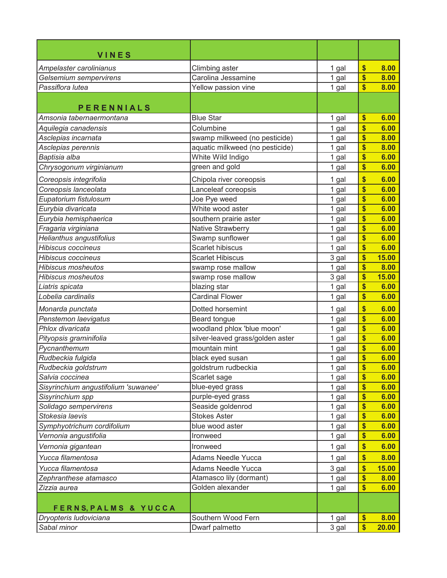| <b>VINES</b>                         |                                  |       |                           |       |
|--------------------------------------|----------------------------------|-------|---------------------------|-------|
| Ampelaster carolinianus              | Climbing aster                   | 1 gal | $\boldsymbol{\$}$         | 8.00  |
| Gelsemium sempervirens               | Carolina Jessamine               | 1 gal | \$                        | 8.00  |
| Passiflora lutea                     | Yellow passion vine              | 1 gal | \$                        | 8.00  |
| <b>PERENNIALS</b>                    |                                  |       |                           |       |
| Amsonia tabernaermontana             | <b>Blue Star</b>                 | 1 gal | \$                        | 6.00  |
| Aquilegia canadensis                 | Columbine                        | 1 gal | \$                        | 6.00  |
| Asclepias incarnata                  | swamp milkweed (no pesticide)    | 1 gal | \$                        | 8.00  |
| Asclepias perennis                   | aquatic milkweed (no pesticide)  | 1 gal | \$                        | 8.00  |
| Baptisia alba                        | White Wild Indigo                | 1 gal | \$                        | 6.00  |
| Chrysogonum virginianum              | green and gold                   | 1 gal | \$                        | 6.00  |
| Coreopsis integrifolia               | Chipola river coreopsis          | 1 gal | \$                        | 6.00  |
| Coreopsis lanceolata                 | Lanceleaf coreopsis              | 1 gal | \$                        | 6.00  |
| Eupatorium fistulosum                | Joe Pye weed                     | 1 gal | \$                        | 6.00  |
| Eurybia divaricata                   | White wood aster                 | 1 gal | \$                        | 6.00  |
| Eurybia hemisphaerica                | southern prairie aster           | 1 gal | \$                        | 6.00  |
| Fragaria virginiana                  | Native Strawberry                | 1 gal | \$                        | 6.00  |
| Helianthus angustifolius             | Swamp sunflower                  | 1 gal | \$                        | 6.00  |
| <b>Hibiscus coccineus</b>            | <b>Scarlet hibiscus</b>          | 1 gal | \$                        | 6.00  |
| <b>Hibiscus coccineus</b>            | <b>Scarlet Hibiscus</b>          | 3 gal | \$                        | 15.00 |
| <b>Hibiscus mosheutos</b>            | swamp rose mallow                | 1 gal | \$                        | 8.00  |
| <b>Hibiscus mosheutos</b>            | swamp rose mallow                | 3 gal | \$                        | 15.00 |
| Liatris spicata                      | blazing star                     | 1 gal | \$                        | 6.00  |
| Lobelia cardinalis                   | <b>Cardinal Flower</b>           | 1 gal | \$                        | 6.00  |
| Monarda punctata                     | Dotted horsemint                 | 1 gal | \$                        | 6.00  |
| Penstemon laevigatus                 | Beard tongue                     | 1 gal | \$                        | 6.00  |
| Phlox divaricata                     | woodland phlox 'blue moon'       | 1 gal | \$                        | 6.00  |
| Pityopsis graminifolia               | silver-leaved grass/golden aster | 1 gal | \$                        | 6.00  |
| Pycnanthemum                         | mountain mint                    | 1 gal | \$                        | 6.00  |
| Rudbeckia fulgida                    | black eyed susan                 | 1 gal | \$                        | 6.00  |
| Rudbeckia goldstrum                  | goldstrum rudbeckia              | 1 gal | \$                        | 6.00  |
| Salvia coccinea                      | Scarlet sage                     | 1 gal | \$                        | 6.00  |
| Sisyrinchium angustifolium 'suwanee' | blue-eyed grass                  | 1 gal | $\boldsymbol{\mathsf{s}}$ | 6.00  |
| Sisyrinchium spp                     | purple-eyed grass                | 1 gal | \$                        | 6.00  |
| Solidago sempervirens                | Seaside goldenrod                | 1 gal | \$                        | 6.00  |
| Stokesia laevis                      | <b>Stokes Aster</b>              | 1 gal | \$                        | 6.00  |
| Symphyotrichum cordifolium           | blue wood aster                  | 1 gal | $\boldsymbol{\mathsf{s}}$ | 6.00  |
| Vernonia angustifolia                | Ironweed                         | 1 gal | \$                        | 6.00  |
| Vernonia gigantean                   | Ironweed                         | 1 gal | \$                        | 6.00  |
| Yucca filamentosa                    | <b>Adams Needle Yucca</b>        | 1 gal | \$                        | 8.00  |
| Yucca filamentosa                    | <b>Adams Needle Yucca</b>        | 3 gal | \$                        | 15.00 |
| Zephranthese atamasco                | Atamasco lily (dormant)          | 1 gal | \$                        | 8.00  |
| Zizzia aurea                         | Golden alexander                 | 1 gal | \$                        | 6.00  |
| FERNS, PALMS & YUCCA                 |                                  |       |                           |       |
| Dryopteris ludoviciana               | Southern Wood Fern               | 1 gal | \$                        | 8.00  |
| Sabal minor                          | Dwarf palmetto                   | 3 gal | $\boldsymbol{\$}$         | 20.00 |